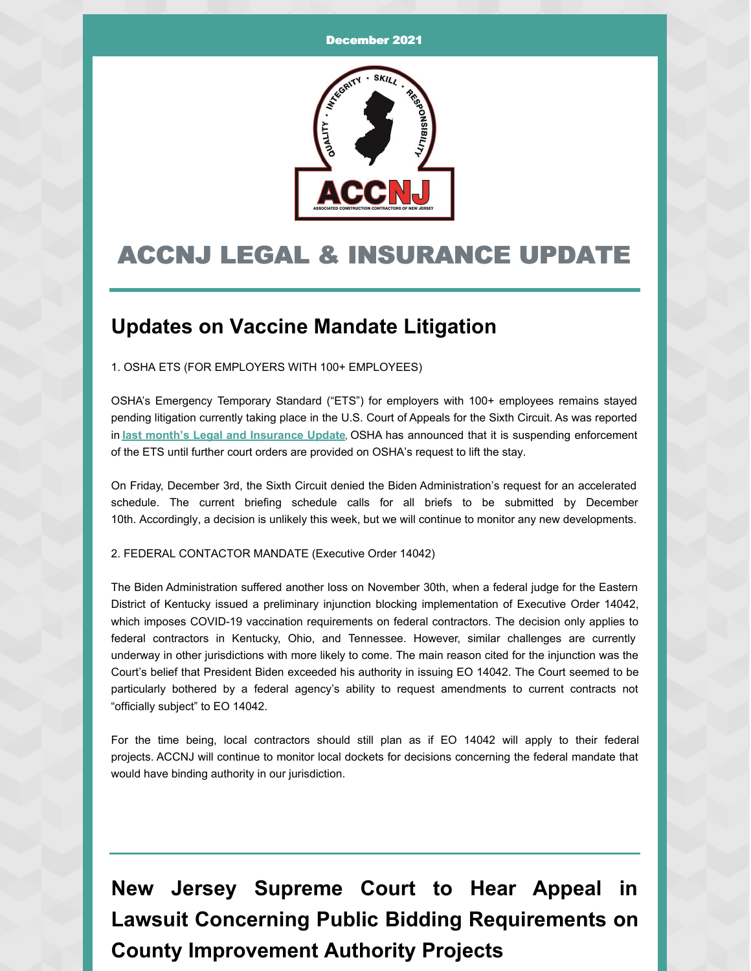

## ACCNJ LEGAL & INSURANCE UPDATE

## **Updates on Vaccine Mandate Litigation**

1. OSHA ETS (FOR EMPLOYERS WITH 100+ EMPLOYEES)

OSHA's Emergency Temporary Standard ("ETS") for employers with 100+ employees remains stayed pending litigation currently taking place in the U.S. Court of Appeals for the Sixth Circuit. As was reported in **last month's Legal and [Insurance](https://accnj.org/wp-content/uploads/Legal-Insurance-Update-November-2021.pdf) Update**, OSHA has announced that it is suspending enforcement of the ETS until further court orders are provided on OSHA's request to lift the stay.

On Friday, December 3rd, the Sixth Circuit denied the Biden Administration's request for an accelerated schedule. The current briefing schedule calls for all briefs to be submitted by December 10th. Accordingly, a decision is unlikely this week, but we will continue to monitor any new developments.

2. FEDERAL CONTACTOR MANDATE (Executive Order 14042)

The Biden Administration suffered another loss on November 30th, when a federal judge for the Eastern District of Kentucky issued a preliminary injunction blocking implementation of Executive Order 14042, which imposes COVID-19 vaccination requirements on federal contractors. The decision only applies to federal contractors in Kentucky, Ohio, and Tennessee. However, similar challenges are currently underway in other jurisdictions with more likely to come. The main reason cited for the injunction was the Court's belief that President Biden exceeded his authority in issuing EO 14042. The Court seemed to be particularly bothered by a federal agency's ability to request amendments to current contracts not "officially subject" to EO 14042.

For the time being, local contractors should still plan as if EO 14042 will apply to their federal projects. ACCNJ will continue to monitor local dockets for decisions concerning the federal mandate that would have binding authority in our jurisdiction.

**New Jersey Supreme Court to Hear Appeal in Lawsuit Concerning Public Bidding Requirements on County Improvement Authority Projects**